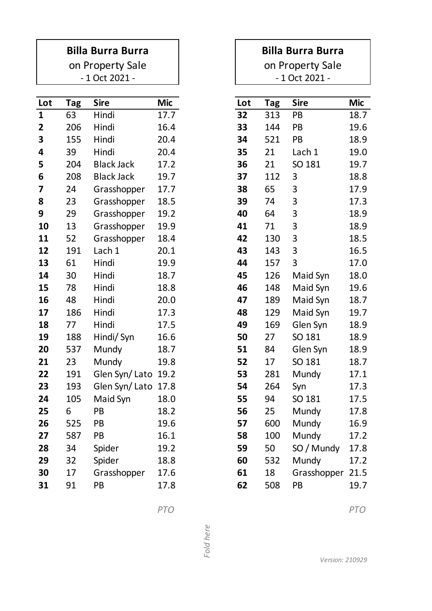## **Billa Burra Burra**

- 1 Oct 2021 on Property Sale

| <b>Tag</b> | <b>Sire</b>       | <b>Mic</b> |                                          | Lot |     | <b>Sire</b> | Mic  |
|------------|-------------------|------------|------------------------------------------|-----|-----|-------------|------|
| 63         | Hindi             | 17.7       |                                          | 32  | 313 | PB          | 18.7 |
| 206        | Hindi             | 16.4       |                                          | 33  | 144 | PB          | 19.6 |
| 155        | Hindi             | 20.4       |                                          | 34  | 521 | PB          | 18.9 |
| 39         | Hindi             | 20.4       |                                          | 35  | 21  | Lach 1      | 19.0 |
| 204        | <b>Black Jack</b> | 17.2       |                                          | 36  | 21  | SO 181      | 19.7 |
| 208        | <b>Black Jack</b> | 19.7       |                                          | 37  | 112 | 3           | 18.8 |
| 24         | Grasshopper       | 17.7       |                                          | 38  | 65  | 3           | 17.9 |
| 23         | Grasshopper       | 18.5       |                                          | 39  | 74  | 3           | 17.3 |
| 29         | Grasshopper       | 19.2       |                                          | 40  | 64  | 3           | 18.9 |
| 13         | Grasshopper       | 19.9       |                                          | 41  | 71  | 3           | 18.9 |
| 52         | Grasshopper       | 18.4       |                                          | 42  | 130 | 3           | 18.5 |
| 191        | Lach 1            | 20.1       |                                          | 43  | 143 | 3           | 16.5 |
| 61         | Hindi             | 19.9       |                                          | 44  | 157 | 3           | 17.0 |
| 30         | Hindi             | 18.7       |                                          | 45  | 126 | Maid Syn    | 18.0 |
| 78         | Hindi             | 18.8       |                                          | 46  | 148 | Maid Syn    | 19.6 |
| 48         | Hindi             | 20.0       |                                          | 47  | 189 | Maid Syn    | 18.7 |
| 186        | Hindi             | 17.3       |                                          | 48  | 129 | Maid Syn    | 19.7 |
| 77         | Hindi             | 17.5       |                                          | 49  | 169 | Glen Syn    | 18.9 |
| 188        | Hindi/ Syn        | 16.6       |                                          | 50  | 27  | SO 181      | 18.9 |
| 537        | Mundy             | 18.7       |                                          | 51  | 84  | Glen Syn    | 18.9 |
| 23         | Mundy             | 19.8       |                                          | 52  | 17  | SO 181      | 18.7 |
| 191        |                   |            |                                          | 53  | 281 | Mundy       | 17.1 |
| 193        |                   |            |                                          | 54  | 264 | Syn         | 17.3 |
| 105        | Maid Syn          | 18.0       |                                          | 55  | 94  | SO 181      | 17.5 |
| 6          | PB                | 18.2       |                                          | 56  | 25  | Mundy       | 17.8 |
| 525        | PB                | 19.6       |                                          | 57  | 600 | Mundy       | 16.9 |
| 587        | PB                | 16.1       |                                          | 58  | 100 | Mundy       | 17.2 |
| 34         | Spider            | 19.2       |                                          | 59  | 50  | SO / Mundy  | 17.8 |
| 32         | Spider            | 18.8       |                                          | 60  | 532 | Mundy       | 17.2 |
| 17         | Grasshopper       | 17.6       |                                          | 61  | 18  | Grasshopper | 21.5 |
| 91         | PB                | 17.8       |                                          | 62  | 508 | PB          | 19.7 |
|            |                   |            | Glen Syn/Lato 19.2<br>Glen Syn/Lato 17.8 |     |     | <b>Tag</b>  |      |

|                         | on Property Sale |                |                 |  |  |  |  |
|-------------------------|------------------|----------------|-----------------|--|--|--|--|
|                         |                  | - 1 Oct 2021 - |                 |  |  |  |  |
|                         |                  |                |                 |  |  |  |  |
| ot                      | <b>Tag</b>       | <b>Sire</b>    | Mic             |  |  |  |  |
| $\overline{\mathbf{2}}$ | 313              | PB             | 18.7            |  |  |  |  |
| 3                       | 144              | PB             | 19.6            |  |  |  |  |
| 4                       | 521              | PB             | 18.9            |  |  |  |  |
| 5                       | 21               | Lach 1         | 19.0            |  |  |  |  |
| 6                       | 21               | SO 181         | 19.7            |  |  |  |  |
| 7                       | 112              | 3              | 18.8            |  |  |  |  |
| 8                       | 65               | 3              | 17.9            |  |  |  |  |
| 9                       | 74               | 3              | 17.3            |  |  |  |  |
| 0                       | 64               | 3              | 18.9            |  |  |  |  |
| $\mathbf{1}$            | 71               | 3              | 18.9            |  |  |  |  |
| $\mathbf{2}$            | 130              | 3              | 18.5            |  |  |  |  |
| З                       | 143              | 3              | 16.5            |  |  |  |  |
| 4                       | 157              | 3              | 17.0            |  |  |  |  |
| 5                       | 126              | Maid Syn       | 18.0            |  |  |  |  |
| 6                       | 148              | Maid Syn       | 19.6            |  |  |  |  |
| 7                       | 189              | Maid Syn       | 18.7            |  |  |  |  |
| 8                       | 129              | Maid Syn       | 19.7            |  |  |  |  |
| 9                       | 169              | Glen Syn       | 18.9            |  |  |  |  |
| 0                       | 27               | SO 181         | 18.9            |  |  |  |  |
| $\mathbf{1}$            | 84               | Glen Syn       | 18.9            |  |  |  |  |
| 2                       | 17               | SO 181         | 18.7            |  |  |  |  |
| 3                       | 281              | Mundy          | 17.2            |  |  |  |  |
| 4                       | 264              | Syn            | 17.3            |  |  |  |  |
| 5                       | 94               | SO 181         | 17.5            |  |  |  |  |
| 6                       | 25               | Mundy          | 17.8            |  |  |  |  |
| 7                       | 600              | Mundy          | 16.9            |  |  |  |  |
| 8                       | 100              | Mundy          | 17.2            |  |  |  |  |
| 9                       | 50               | SO / Mundy     | 17.8            |  |  |  |  |
| Ω                       | 537              | Mundy          | 17 <sup>1</sup> |  |  |  |  |

**Billa Burra Burra**

*Fold here*

Fold here

*PTO PTO*